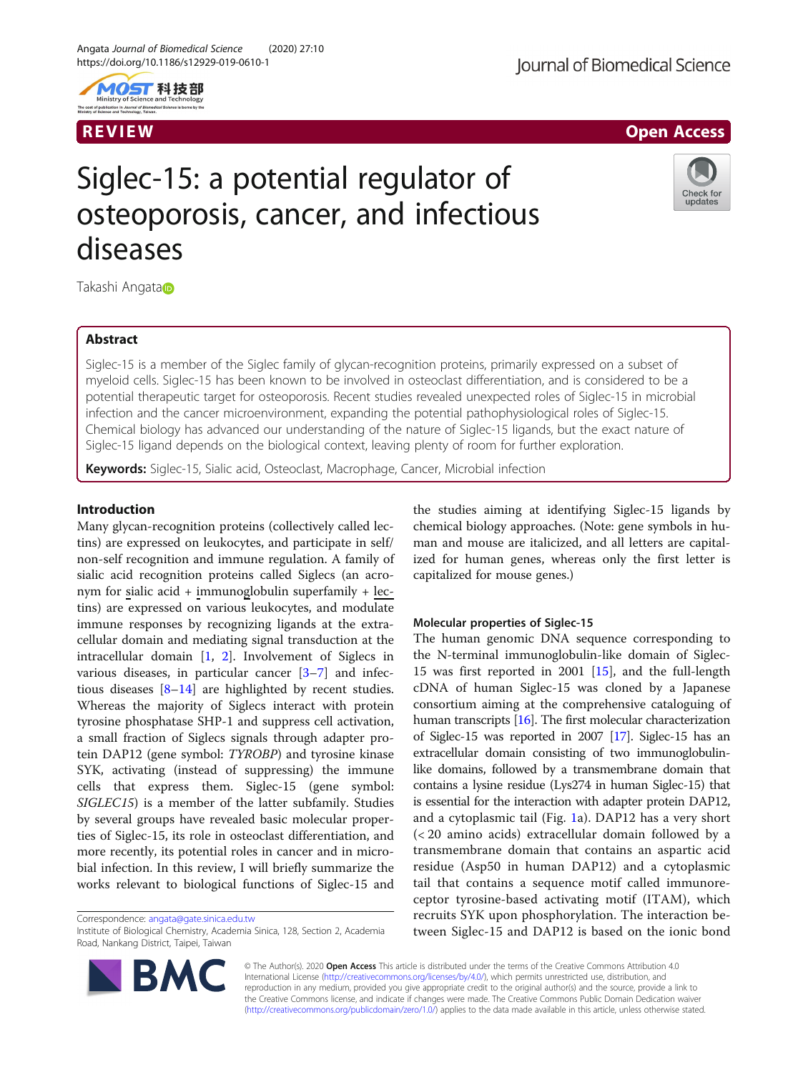

## R EVI EW Open Access

# Siglec-15: a potential regulator of osteoporosis, cancer, and infectious diseases



Takashi Angata

## Abstract

Siglec-15 is a member of the Siglec family of glycan-recognition proteins, primarily expressed on a subset of myeloid cells. Siglec-15 has been known to be involved in osteoclast differentiation, and is considered to be a potential therapeutic target for osteoporosis. Recent studies revealed unexpected roles of Siglec-15 in microbial infection and the cancer microenvironment, expanding the potential pathophysiological roles of Siglec-15. Chemical biology has advanced our understanding of the nature of Siglec-15 ligands, but the exact nature of Siglec-15 ligand depends on the biological context, leaving plenty of room for further exploration.

Keywords: Siglec-15, Sialic acid, Osteoclast, Macrophage, Cancer, Microbial infection

## Introduction

Many glycan-recognition proteins (collectively called lectins) are expressed on leukocytes, and participate in self/ non-self recognition and immune regulation. A family of sialic acid recognition proteins called Siglecs (an acronym for sialic acid + immunoglobulin superfamily + lectins) are expressed on various leukocytes, and modulate immune responses by recognizing ligands at the extracellular domain and mediating signal transduction at the intracellular domain [\[1,](#page-5-0) [2\]](#page-5-0). Involvement of Siglecs in various diseases, in particular cancer [\[3](#page-5-0)–[7\]](#page-5-0) and infectious diseases [[8](#page-5-0)–[14\]](#page-5-0) are highlighted by recent studies. Whereas the majority of Siglecs interact with protein tyrosine phosphatase SHP-1 and suppress cell activation, a small fraction of Siglecs signals through adapter protein DAP12 (gene symbol: TYROBP) and tyrosine kinase SYK, activating (instead of suppressing) the immune cells that express them. Siglec-15 (gene symbol: SIGLEC15) is a member of the latter subfamily. Studies by several groups have revealed basic molecular properties of Siglec-15, its role in osteoclast differentiation, and more recently, its potential roles in cancer and in microbial infection. In this review, I will briefly summarize the works relevant to biological functions of Siglec-15 and

Correspondence: [angata@gate.sinica.edu.tw](mailto:angata@gate.sinica.edu.tw)

Institute of Biological Chemistry, Academia Sinica, 128, Section 2, Academia Road, Nankang District, Taipei, Taiwan



the studies aiming at identifying Siglec-15 ligands by chemical biology approaches. (Note: gene symbols in human and mouse are italicized, and all letters are capitalized for human genes, whereas only the first letter is capitalized for mouse genes.)

## Molecular properties of Siglec-15

The human genomic DNA sequence corresponding to the N-terminal immunoglobulin-like domain of Siglec-15 was first reported in 2001 [\[15\]](#page-5-0), and the full-length cDNA of human Siglec-15 was cloned by a Japanese consortium aiming at the comprehensive cataloguing of human transcripts [[16](#page-5-0)]. The first molecular characterization of Siglec-15 was reported in 2007 [[17\]](#page-5-0). Siglec-15 has an extracellular domain consisting of two immunoglobulinlike domains, followed by a transmembrane domain that contains a lysine residue (Lys274 in human Siglec-15) that is essential for the interaction with adapter protein DAP12, and a cytoplasmic tail (Fig. [1a](#page-1-0)). DAP12 has a very short (< 20 amino acids) extracellular domain followed by a transmembrane domain that contains an aspartic acid residue (Asp50 in human DAP12) and a cytoplasmic tail that contains a sequence motif called immunoreceptor tyrosine-based activating motif (ITAM), which recruits SYK upon phosphorylation. The interaction between Siglec-15 and DAP12 is based on the ionic bond

© The Author(s). 2020 Open Access This article is distributed under the terms of the Creative Commons Attribution 4.0 International License [\(http://creativecommons.org/licenses/by/4.0/](http://creativecommons.org/licenses/by/4.0/)), which permits unrestricted use, distribution, and reproduction in any medium, provided you give appropriate credit to the original author(s) and the source, provide a link to the Creative Commons license, and indicate if changes were made. The Creative Commons Public Domain Dedication waiver [\(http://creativecommons.org/publicdomain/zero/1.0/](http://creativecommons.org/publicdomain/zero/1.0/)) applies to the data made available in this article, unless otherwise stated.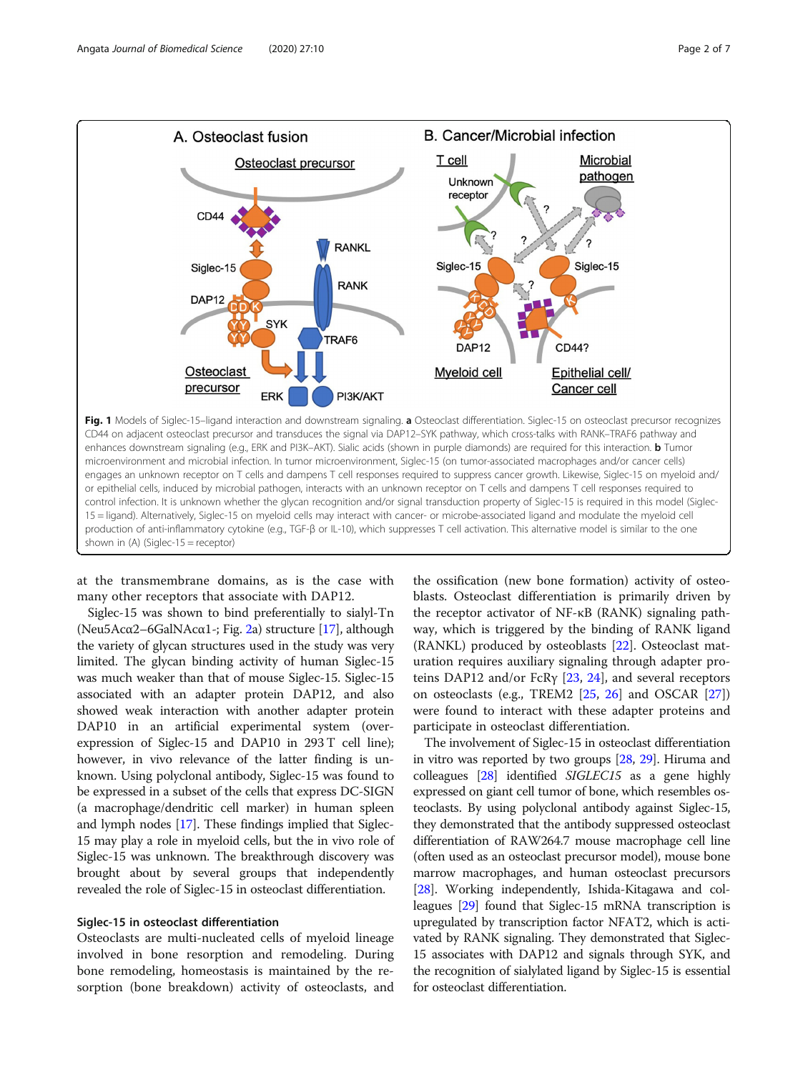<span id="page-1-0"></span>

at the transmembrane domains, as is the case with many other receptors that associate with DAP12.

Siglec-15 was shown to bind preferentially to sialyl-Tn (Neu5Ac $\alpha$ 2–6GalNAc $\alpha$ 1-; Fig. [2a](#page-2-0)) structure [[17](#page-5-0)], although the variety of glycan structures used in the study was very limited. The glycan binding activity of human Siglec-15 was much weaker than that of mouse Siglec-15. Siglec-15 associated with an adapter protein DAP12, and also showed weak interaction with another adapter protein DAP10 in an artificial experimental system (overexpression of Siglec-15 and DAP10 in 293 T cell line); however, in vivo relevance of the latter finding is unknown. Using polyclonal antibody, Siglec-15 was found to be expressed in a subset of the cells that express DC-SIGN (a macrophage/dendritic cell marker) in human spleen and lymph nodes [\[17](#page-5-0)]. These findings implied that Siglec-15 may play a role in myeloid cells, but the in vivo role of Siglec-15 was unknown. The breakthrough discovery was brought about by several groups that independently revealed the role of Siglec-15 in osteoclast differentiation.

## Siglec-15 in osteoclast differentiation

Osteoclasts are multi-nucleated cells of myeloid lineage involved in bone resorption and remodeling. During bone remodeling, homeostasis is maintained by the resorption (bone breakdown) activity of osteoclasts, and the ossification (new bone formation) activity of osteoblasts. Osteoclast differentiation is primarily driven by the receptor activator of NF-κB (RANK) signaling pathway, which is triggered by the binding of RANK ligand (RANKL) produced by osteoblasts [\[22\]](#page-5-0). Osteoclast maturation requires auxiliary signaling through adapter proteins DAP12 and/or FcRγ  $[23, 24]$  $[23, 24]$  $[23, 24]$  $[23, 24]$ , and several receptors on osteoclasts (e.g., TREM2 [[25,](#page-5-0) [26\]](#page-5-0) and OSCAR [\[27](#page-5-0)]) were found to interact with these adapter proteins and participate in osteoclast differentiation.

The involvement of Siglec-15 in osteoclast differentiation in vitro was reported by two groups [[28](#page-5-0), [29](#page-5-0)]. Hiruma and colleagues [[28](#page-5-0)] identified SIGLEC15 as a gene highly expressed on giant cell tumor of bone, which resembles osteoclasts. By using polyclonal antibody against Siglec-15, they demonstrated that the antibody suppressed osteoclast differentiation of RAW264.7 mouse macrophage cell line (often used as an osteoclast precursor model), mouse bone marrow macrophages, and human osteoclast precursors [[28](#page-5-0)]. Working independently, Ishida-Kitagawa and colleagues [[29](#page-5-0)] found that Siglec-15 mRNA transcription is upregulated by transcription factor NFAT2, which is activated by RANK signaling. They demonstrated that Siglec-15 associates with DAP12 and signals through SYK, and the recognition of sialylated ligand by Siglec-15 is essential for osteoclast differentiation.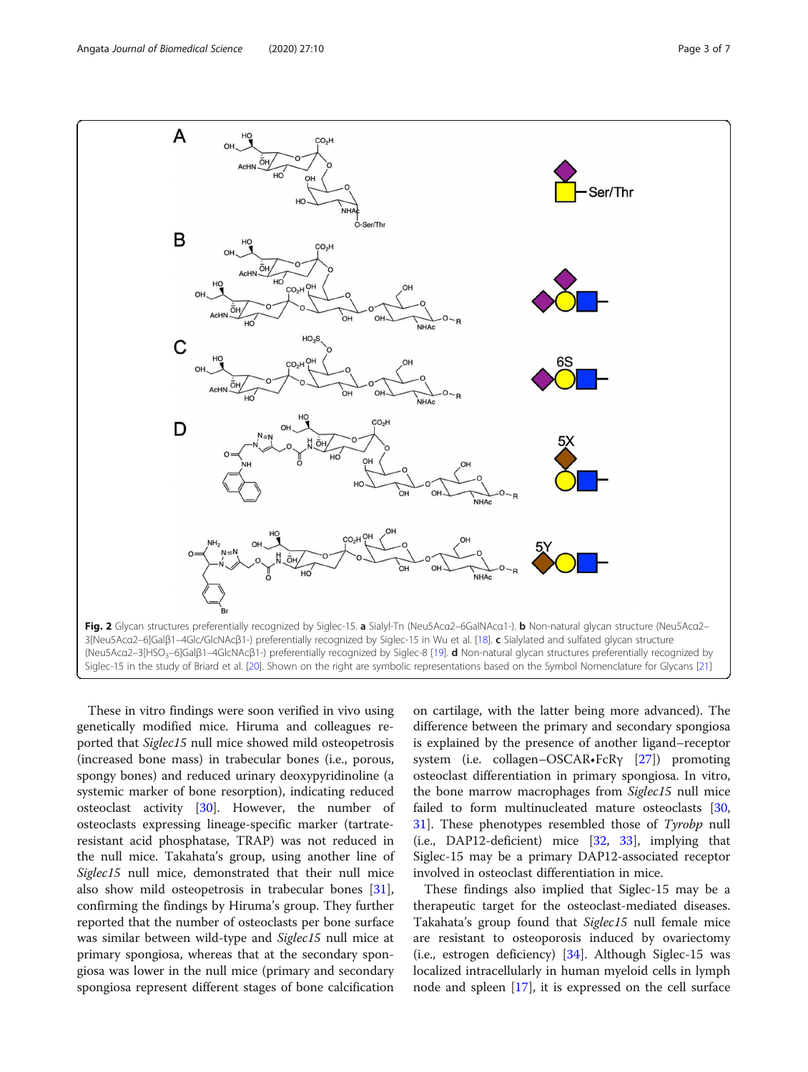<span id="page-2-0"></span>

These in vitro findings were soon verified in vivo using genetically modified mice. Hiruma and colleagues reported that Siglec15 null mice showed mild osteopetrosis (increased bone mass) in trabecular bones (i.e., porous, spongy bones) and reduced urinary deoxypyridinoline (a systemic marker of bone resorption), indicating reduced osteoclast activity [\[30\]](#page-6-0). However, the number of osteoclasts expressing lineage-specific marker (tartrateresistant acid phosphatase, TRAP) was not reduced in the null mice. Takahata's group, using another line of Siglec15 null mice, demonstrated that their null mice also show mild osteopetrosis in trabecular bones [\[31](#page-6-0)], confirming the findings by Hiruma's group. They further reported that the number of osteoclasts per bone surface was similar between wild-type and Siglec15 null mice at primary spongiosa, whereas that at the secondary spongiosa was lower in the null mice (primary and secondary spongiosa represent different stages of bone calcification

on cartilage, with the latter being more advanced). The difference between the primary and secondary spongiosa is explained by the presence of another ligand–receptor system (i.e. collagen–OSCAR•FcRγ [[27\]](#page-5-0)) promoting osteoclast differentiation in primary spongiosa. In vitro, the bone marrow macrophages from Siglec15 null mice failed to form multinucleated mature osteoclasts [[30](#page-6-0), [31\]](#page-6-0). These phenotypes resembled those of Tyrobp null (i.e., DAP12-deficient) mice [\[32](#page-6-0), [33\]](#page-6-0), implying that Siglec-15 may be a primary DAP12-associated receptor involved in osteoclast differentiation in mice.

These findings also implied that Siglec-15 may be a therapeutic target for the osteoclast-mediated diseases. Takahata's group found that Siglec15 null female mice are resistant to osteoporosis induced by ovariectomy (i.e., estrogen deficiency) [[34\]](#page-6-0). Although Siglec-15 was localized intracellularly in human myeloid cells in lymph node and spleen [[17\]](#page-5-0), it is expressed on the cell surface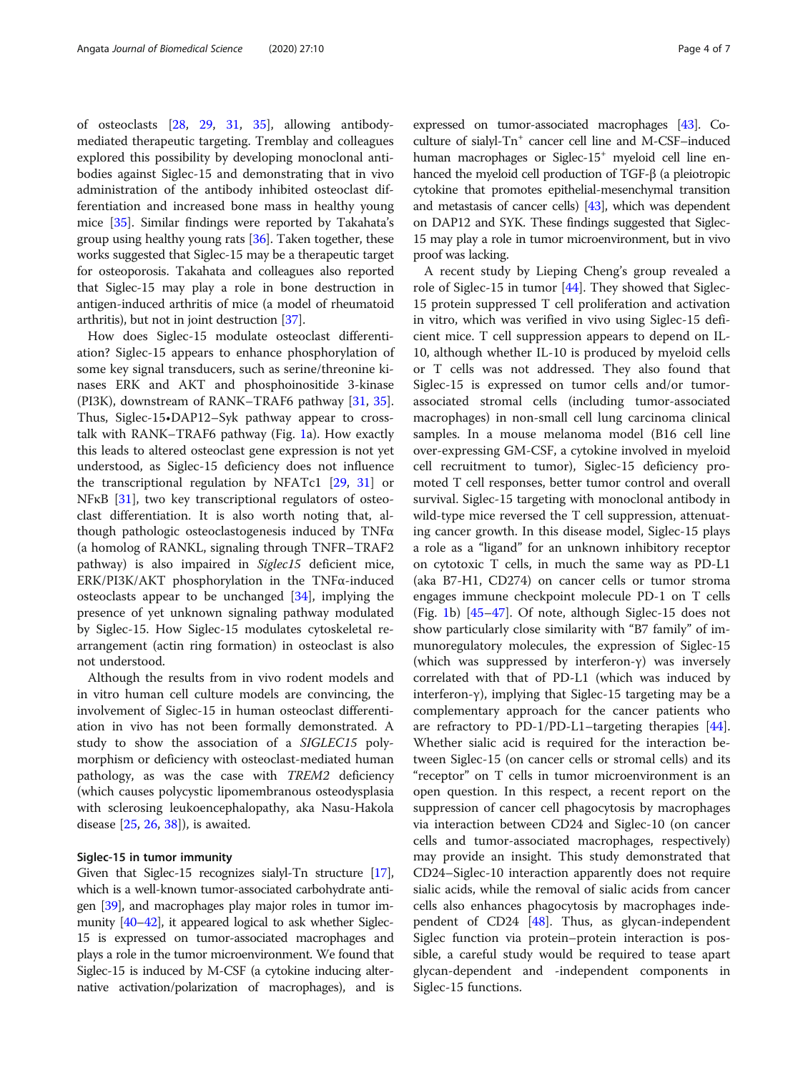of osteoclasts [\[28](#page-5-0), [29,](#page-5-0) [31,](#page-6-0) [35](#page-6-0)], allowing antibodymediated therapeutic targeting. Tremblay and colleagues explored this possibility by developing monoclonal antibodies against Siglec-15 and demonstrating that in vivo administration of the antibody inhibited osteoclast differentiation and increased bone mass in healthy young mice [[35\]](#page-6-0). Similar findings were reported by Takahata's group using healthy young rats [\[36](#page-6-0)]. Taken together, these works suggested that Siglec-15 may be a therapeutic target for osteoporosis. Takahata and colleagues also reported that Siglec-15 may play a role in bone destruction in antigen-induced arthritis of mice (a model of rheumatoid arthritis), but not in joint destruction [\[37\]](#page-6-0).

How does Siglec-15 modulate osteoclast differentiation? Siglec-15 appears to enhance phosphorylation of some key signal transducers, such as serine/threonine kinases ERK and AKT and phosphoinositide 3-kinase (PI3K), downstream of RANK–TRAF6 pathway [\[31,](#page-6-0) [35](#page-6-0)]. Thus, Siglec-15•DAP12–Syk pathway appear to crosstalk with RANK–TRAF6 pathway (Fig. [1](#page-1-0)a). How exactly this leads to altered osteoclast gene expression is not yet understood, as Siglec-15 deficiency does not influence the transcriptional regulation by NFATc1 [[29,](#page-5-0) [31](#page-6-0)] or NFκB [\[31](#page-6-0)], two key transcriptional regulators of osteoclast differentiation. It is also worth noting that, although pathologic osteoclastogenesis induced by TNFα (a homolog of RANKL, signaling through TNFR–TRAF2 pathway) is also impaired in Siglec15 deficient mice, ERK/PI3K/AKT phosphorylation in the TNFα-induced osteoclasts appear to be unchanged [\[34](#page-6-0)], implying the presence of yet unknown signaling pathway modulated by Siglec-15. How Siglec-15 modulates cytoskeletal rearrangement (actin ring formation) in osteoclast is also not understood.

Although the results from in vivo rodent models and in vitro human cell culture models are convincing, the involvement of Siglec-15 in human osteoclast differentiation in vivo has not been formally demonstrated. A study to show the association of a SIGLEC15 polymorphism or deficiency with osteoclast-mediated human pathology, as was the case with TREM2 deficiency (which causes polycystic lipomembranous osteodysplasia with sclerosing leukoencephalopathy, aka Nasu-Hakola disease [\[25](#page-5-0), [26](#page-5-0), [38\]](#page-6-0)), is awaited.

#### Siglec-15 in tumor immunity

Given that Siglec-15 recognizes sialyl-Tn structure [\[17](#page-5-0)], which is a well-known tumor-associated carbohydrate antigen [\[39\]](#page-6-0), and macrophages play major roles in tumor immunity [\[40](#page-6-0)–[42\]](#page-6-0), it appeared logical to ask whether Siglec-15 is expressed on tumor-associated macrophages and plays a role in the tumor microenvironment. We found that Siglec-15 is induced by M-CSF (a cytokine inducing alternative activation/polarization of macrophages), and is

expressed on tumor-associated macrophages [\[43\]](#page-6-0). Coculture of sialyl- $Tn^{+}$  cancer cell line and M-CSF–induced human macrophages or Siglec-15<sup>+</sup> myeloid cell line enhanced the myeloid cell production of TGF-β (a pleiotropic cytokine that promotes epithelial-mesenchymal transition and metastasis of cancer cells) [[43](#page-6-0)], which was dependent on DAP12 and SYK. These findings suggested that Siglec-15 may play a role in tumor microenvironment, but in vivo proof was lacking.

A recent study by Lieping Cheng's group revealed a role of Siglec-15 in tumor [[44\]](#page-6-0). They showed that Siglec-15 protein suppressed T cell proliferation and activation in vitro, which was verified in vivo using Siglec-15 deficient mice. T cell suppression appears to depend on IL-10, although whether IL-10 is produced by myeloid cells or T cells was not addressed. They also found that Siglec-15 is expressed on tumor cells and/or tumorassociated stromal cells (including tumor-associated macrophages) in non-small cell lung carcinoma clinical samples. In a mouse melanoma model (B16 cell line over-expressing GM-CSF, a cytokine involved in myeloid cell recruitment to tumor), Siglec-15 deficiency promoted T cell responses, better tumor control and overall survival. Siglec-15 targeting with monoclonal antibody in wild-type mice reversed the T cell suppression, attenuating cancer growth. In this disease model, Siglec-15 plays a role as a "ligand" for an unknown inhibitory receptor on cytotoxic T cells, in much the same way as PD-L1 (aka B7-H1, CD274) on cancer cells or tumor stroma engages immune checkpoint molecule PD-1 on T cells (Fig. [1](#page-1-0)b) [[45](#page-6-0)–[47\]](#page-6-0). Of note, although Siglec-15 does not show particularly close similarity with "B7 family" of immunoregulatory molecules, the expression of Siglec-15 (which was suppressed by interferon-γ) was inversely correlated with that of PD-L1 (which was induced by interferon-γ), implying that Siglec-15 targeting may be a complementary approach for the cancer patients who are refractory to PD-1/PD-L1–targeting therapies [\[44](#page-6-0)]. Whether sialic acid is required for the interaction between Siglec-15 (on cancer cells or stromal cells) and its "receptor" on T cells in tumor microenvironment is an open question. In this respect, a recent report on the suppression of cancer cell phagocytosis by macrophages via interaction between CD24 and Siglec-10 (on cancer cells and tumor-associated macrophages, respectively) may provide an insight. This study demonstrated that CD24–Siglec-10 interaction apparently does not require sialic acids, while the removal of sialic acids from cancer cells also enhances phagocytosis by macrophages inde-pendent of CD24 [\[48](#page-6-0)]. Thus, as glycan-independent Siglec function via protein–protein interaction is possible, a careful study would be required to tease apart glycan-dependent and -independent components in Siglec-15 functions.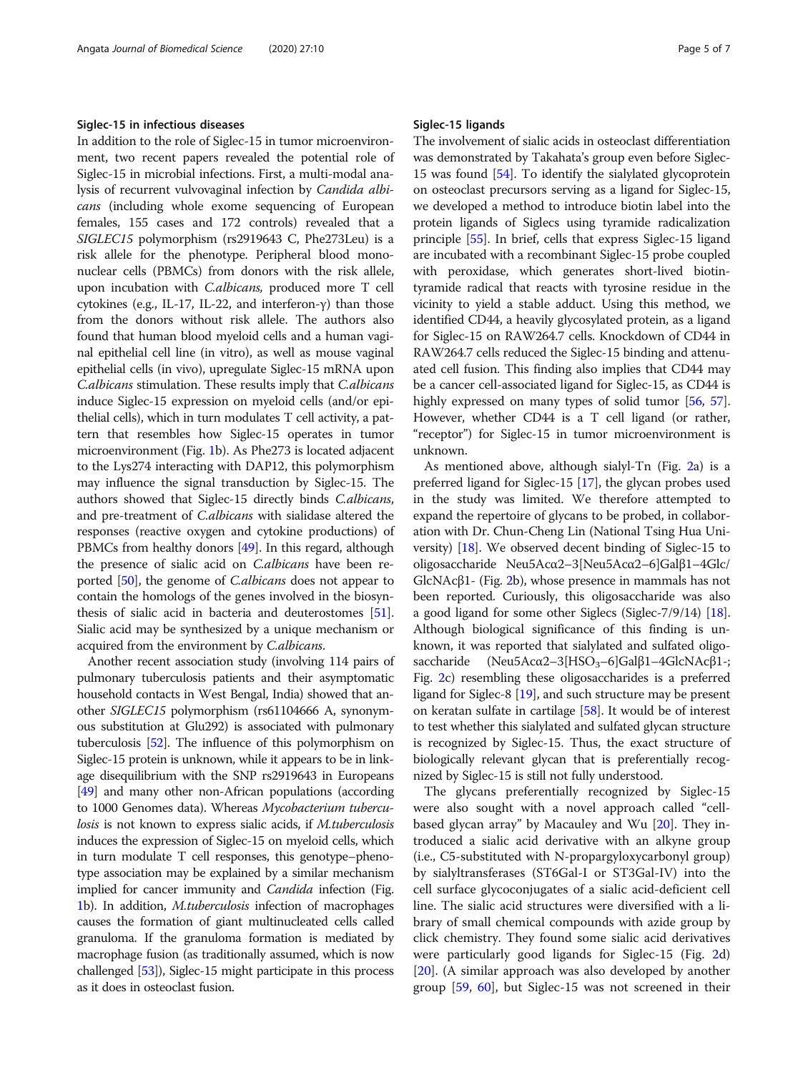#### Siglec-15 in infectious diseases

In addition to the role of Siglec-15 in tumor microenvironment, two recent papers revealed the potential role of Siglec-15 in microbial infections. First, a multi-modal analysis of recurrent vulvovaginal infection by Candida albicans (including whole exome sequencing of European females, 155 cases and 172 controls) revealed that a SIGLEC15 polymorphism (rs2919643 C, Phe273Leu) is a risk allele for the phenotype. Peripheral blood mononuclear cells (PBMCs) from donors with the risk allele, upon incubation with C.albicans, produced more T cell cytokines (e.g., IL-17, IL-22, and interferon-γ) than those from the donors without risk allele. The authors also found that human blood myeloid cells and a human vaginal epithelial cell line (in vitro), as well as mouse vaginal epithelial cells (in vivo), upregulate Siglec-15 mRNA upon C.albicans stimulation. These results imply that C.albicans induce Siglec-15 expression on myeloid cells (and/or epithelial cells), which in turn modulates T cell activity, a pattern that resembles how Siglec-15 operates in tumor microenvironment (Fig. [1b](#page-1-0)). As Phe273 is located adjacent to the Lys274 interacting with DAP12, this polymorphism may influence the signal transduction by Siglec-15. The authors showed that Siglec-15 directly binds C.albicans, and pre-treatment of C.albicans with sialidase altered the responses (reactive oxygen and cytokine productions) of PBMCs from healthy donors [\[49\]](#page-6-0). In this regard, although the presence of sialic acid on C.albicans have been reported [\[50\]](#page-6-0), the genome of C.albicans does not appear to contain the homologs of the genes involved in the biosynthesis of sialic acid in bacteria and deuterostomes [[51](#page-6-0)]. Sialic acid may be synthesized by a unique mechanism or acquired from the environment by *C.albicans*.

Another recent association study (involving 114 pairs of pulmonary tuberculosis patients and their asymptomatic household contacts in West Bengal, India) showed that another SIGLEC15 polymorphism (rs61104666 A, synonymous substitution at Glu292) is associated with pulmonary tuberculosis [\[52](#page-6-0)]. The influence of this polymorphism on Siglec-15 protein is unknown, while it appears to be in linkage disequilibrium with the SNP rs2919643 in Europeans [[49](#page-6-0)] and many other non-African populations (according to 1000 Genomes data). Whereas Mycobacterium tuberculosis is not known to express sialic acids, if M.tuberculosis induces the expression of Siglec-15 on myeloid cells, which in turn modulate T cell responses, this genotype–phenotype association may be explained by a similar mechanism implied for cancer immunity and *Candida* infection (Fig. [1](#page-1-0)b). In addition, M.tuberculosis infection of macrophages causes the formation of giant multinucleated cells called granuloma. If the granuloma formation is mediated by macrophage fusion (as traditionally assumed, which is now challenged [\[53\]](#page-6-0)), Siglec-15 might participate in this process as it does in osteoclast fusion.

#### Siglec-15 ligands

The involvement of sialic acids in osteoclast differentiation was demonstrated by Takahata's group even before Siglec-15 was found [\[54\]](#page-6-0). To identify the sialylated glycoprotein on osteoclast precursors serving as a ligand for Siglec-15, we developed a method to introduce biotin label into the protein ligands of Siglecs using tyramide radicalization principle [[55](#page-6-0)]. In brief, cells that express Siglec-15 ligand are incubated with a recombinant Siglec-15 probe coupled with peroxidase, which generates short-lived biotintyramide radical that reacts with tyrosine residue in the vicinity to yield a stable adduct. Using this method, we identified CD44, a heavily glycosylated protein, as a ligand for Siglec-15 on RAW264.7 cells. Knockdown of CD44 in RAW264.7 cells reduced the Siglec-15 binding and attenuated cell fusion. This finding also implies that CD44 may be a cancer cell-associated ligand for Siglec-15, as CD44 is highly expressed on many types of solid tumor [\[56,](#page-6-0) [57](#page-6-0)]. However, whether CD44 is a T cell ligand (or rather, "receptor") for Siglec-15 in tumor microenvironment is unknown.

As mentioned above, although sialyl-Tn (Fig. [2](#page-2-0)a) is a preferred ligand for Siglec-15 [[17](#page-5-0)], the glycan probes used in the study was limited. We therefore attempted to expand the repertoire of glycans to be probed, in collaboration with Dr. Chun-Cheng Lin (National Tsing Hua University) [\[18\]](#page-5-0). We observed decent binding of Siglec-15 to oligosaccharide Neu5Acα2–3[Neu5Acα2–6]Galβ1–4Glc/ GlcNAcβ1- (Fig. [2](#page-2-0)b), whose presence in mammals has not been reported. Curiously, this oligosaccharide was also a good ligand for some other Siglecs (Siglec-7/9/14) [[18](#page-5-0)]. Although biological significance of this finding is unknown, it was reported that sialylated and sulfated oligosaccharide (Neu5Acα2–3[HSO<sub>3</sub>–6]Galβ1–4GlcNAcβ1-; Fig. [2](#page-2-0)c) resembling these oligosaccharides is a preferred ligand for Siglec-8 [[19\]](#page-5-0), and such structure may be present on keratan sulfate in cartilage [\[58](#page-6-0)]. It would be of interest to test whether this sialylated and sulfated glycan structure is recognized by Siglec-15. Thus, the exact structure of biologically relevant glycan that is preferentially recognized by Siglec-15 is still not fully understood.

The glycans preferentially recognized by Siglec-15 were also sought with a novel approach called "cellbased glycan array" by Macauley and Wu [\[20](#page-5-0)]. They introduced a sialic acid derivative with an alkyne group (i.e., C5-substituted with N-propargyloxycarbonyl group) by sialyltransferases (ST6Gal-I or ST3Gal-IV) into the cell surface glycoconjugates of a sialic acid-deficient cell line. The sialic acid structures were diversified with a library of small chemical compounds with azide group by click chemistry. They found some sialic acid derivatives were particularly good ligands for Siglec-15 (Fig. [2](#page-2-0)d)  $[20]$  $[20]$ . (A similar approach was also developed by another group [\[59,](#page-6-0) [60](#page-6-0)], but Siglec-15 was not screened in their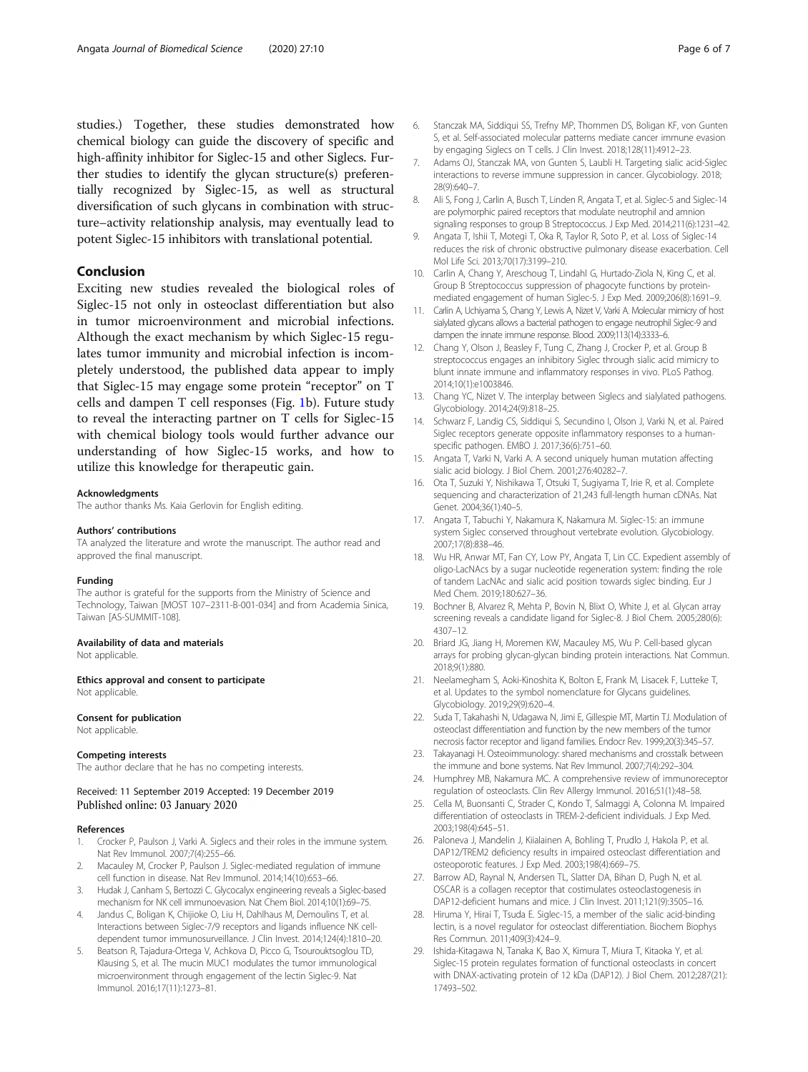<span id="page-5-0"></span>studies.) Together, these studies demonstrated how chemical biology can guide the discovery of specific and high-affinity inhibitor for Siglec-15 and other Siglecs. Further studies to identify the glycan structure(s) preferentially recognized by Siglec-15, as well as structural diversification of such glycans in combination with structure–activity relationship analysis, may eventually lead to potent Siglec-15 inhibitors with translational potential.

## Conclusion

Exciting new studies revealed the biological roles of Siglec-15 not only in osteoclast differentiation but also in tumor microenvironment and microbial infections. Although the exact mechanism by which Siglec-15 regulates tumor immunity and microbial infection is incompletely understood, the published data appear to imply that Siglec-15 may engage some protein "receptor" on T cells and dampen T cell responses (Fig. [1](#page-1-0)b). Future study to reveal the interacting partner on T cells for Siglec-15 with chemical biology tools would further advance our understanding of how Siglec-15 works, and how to utilize this knowledge for therapeutic gain.

#### Acknowledgments

The author thanks Ms. Kaia Gerlovin for English editing.

#### Authors' contributions

TA analyzed the literature and wrote the manuscript. The author read and approved the final manuscript.

#### Funding

The author is grateful for the supports from the Ministry of Science and Technology, Taiwan [MOST 107–2311-B-001-034] and from Academia Sinica, Taiwan [AS-SUMMIT-108].

### Availability of data and materials

Not applicable.

Ethics approval and consent to participate Not applicable

#### Consent for publication Not applicable.

## Competing interests

The author declare that he has no competing interests.

#### Received: 11 September 2019 Accepted: 19 December 2019 Published online: 03 January 2020

#### References

- 1. Crocker P, Paulson J, Varki A. Siglecs and their roles in the immune system. Nat Rev Immunol. 2007;7(4):255–66.
- Macauley M, Crocker P, Paulson J. Siglec-mediated regulation of immune cell function in disease. Nat Rev Immunol. 2014;14(10):653–66.
- 3. Hudak J, Canham S, Bertozzi C. Glycocalyx engineering reveals a Siglec-based mechanism for NK cell immunoevasion. Nat Chem Biol. 2014;10(1):69–75.
- 4. Jandus C, Boligan K, Chijioke O, Liu H, Dahlhaus M, Demoulins T, et al. Interactions between Siglec-7/9 receptors and ligands influence NK celldependent tumor immunosurveillance. J Clin Invest. 2014;124(4):1810–20.
- 5. Beatson R, Tajadura-Ortega V, Achkova D, Picco G, Tsourouktsoglou TD, Klausing S, et al. The mucin MUC1 modulates the tumor immunological microenvironment through engagement of the lectin Siglec-9. Nat Immunol. 2016;17(11):1273–81.
- 6. Stanczak MA, Siddiqui SS, Trefny MP, Thommen DS, Boligan KF, von Gunten S, et al. Self-associated molecular patterns mediate cancer immune evasion by engaging Siglecs on T cells. J Clin Invest. 2018;128(11):4912–23.
- 7. Adams OJ, Stanczak MA, von Gunten S, Laubli H. Targeting sialic acid-Siglec interactions to reverse immune suppression in cancer. Glycobiology. 2018; 28(9):640–7.
- 8. Ali S, Fong J, Carlin A, Busch T, Linden R, Angata T, et al. Siglec-5 and Siglec-14 are polymorphic paired receptors that modulate neutrophil and amnion signaling responses to group B Streptococcus. J Exp Med. 2014;211(6):1231–42.
- 9. Angata T, Ishii T, Motegi T, Oka R, Taylor R, Soto P, et al. Loss of Siglec-14 reduces the risk of chronic obstructive pulmonary disease exacerbation. Cell Mol Life Sci. 2013;70(17):3199–210.
- 10. Carlin A, Chang Y, Areschoug T, Lindahl G, Hurtado-Ziola N, King C, et al. Group B Streptococcus suppression of phagocyte functions by proteinmediated engagement of human Siglec-5. J Exp Med. 2009;206(8):1691–9.
- 11. Carlin A, Uchiyama S, Chang Y, Lewis A, Nizet V, Varki A. Molecular mimicry of host sialylated glycans allows a bacterial pathogen to engage neutrophil Siglec-9 and dampen the innate immune response. Blood. 2009;113(14):3333–6.
- 12. Chang Y, Olson J, Beasley F, Tung C, Zhang J, Crocker P, et al. Group B streptococcus engages an inhibitory Siglec through sialic acid mimicry to blunt innate immune and inflammatory responses in vivo. PLoS Pathog. 2014;10(1):e1003846.
- 13. Chang YC, Nizet V. The interplay between Siglecs and sialylated pathogens. Glycobiology. 2014;24(9):818–25.
- 14. Schwarz F, Landig CS, Siddiqui S, Secundino I, Olson J, Varki N, et al. Paired Siglec receptors generate opposite inflammatory responses to a humanspecific pathogen. EMBO J. 2017;36(6):751–60.
- 15. Angata T, Varki N, Varki A. A second uniquely human mutation affecting sialic acid biology. J Biol Chem. 2001;276:40282–7.
- 16. Ota T, Suzuki Y, Nishikawa T, Otsuki T, Sugiyama T, Irie R, et al. Complete sequencing and characterization of 21,243 full-length human cDNAs. Nat Genet. 2004;36(1):40–5.
- 17. Angata T, Tabuchi Y, Nakamura K, Nakamura M. Siglec-15: an immune system Siglec conserved throughout vertebrate evolution. Glycobiology. 2007;17(8):838–46.
- 18. Wu HR, Anwar MT, Fan CY, Low PY, Angata T, Lin CC. Expedient assembly of oligo-LacNAcs by a sugar nucleotide regeneration system: finding the role of tandem LacNAc and sialic acid position towards siglec binding. Eur J Med Chem. 2019;180:627–36.
- 19. Bochner B, Alvarez R, Mehta P, Bovin N, Blixt O, White J, et al. Glycan array screening reveals a candidate ligand for Siglec-8. J Biol Chem. 2005;280(6): 4307–12.
- 20. Briard JG, Jiang H, Moremen KW, Macauley MS, Wu P. Cell-based glycan arrays for probing glycan-glycan binding protein interactions. Nat Commun. 2018;9(1):880.
- 21. Neelamegham S, Aoki-Kinoshita K, Bolton E, Frank M, Lisacek F, Lutteke T, et al. Updates to the symbol nomenclature for Glycans guidelines. Glycobiology. 2019;29(9):620–4.
- 22. Suda T, Takahashi N, Udagawa N, Jimi E, Gillespie MT, Martin TJ. Modulation of osteoclast differentiation and function by the new members of the tumor necrosis factor receptor and ligand families. Endocr Rev. 1999;20(3):345–57.
- 23. Takayanagi H. Osteoimmunology: shared mechanisms and crosstalk between the immune and bone systems. Nat Rev Immunol. 2007;7(4):292–304.
- 24. Humphrey MB, Nakamura MC. A comprehensive review of immunoreceptor regulation of osteoclasts. Clin Rev Allergy Immunol. 2016;51(1):48–58.
- 25. Cella M, Buonsanti C, Strader C, Kondo T, Salmaggi A, Colonna M. Impaired differentiation of osteoclasts in TREM-2-deficient individuals. J Exp Med. 2003;198(4):645–51.
- 26. Paloneva J, Mandelin J, Kiialainen A, Bohling T, Prudlo J, Hakola P, et al. DAP12/TREM2 deficiency results in impaired osteoclast differentiation and osteoporotic features. J Exp Med. 2003;198(4):669–75.
- 27. Barrow AD, Raynal N, Andersen TL, Slatter DA, Bihan D, Pugh N, et al. OSCAR is a collagen receptor that costimulates osteoclastogenesis in DAP12-deficient humans and mice. J Clin Invest. 2011;121(9):3505–16.
- 28. Hiruma Y, Hirai T, Tsuda E. Siglec-15, a member of the sialic acid-binding lectin, is a novel regulator for osteoclast differentiation. Biochem Biophys Res Commun. 2011;409(3):424–9.
- 29. Ishida-Kitagawa N, Tanaka K, Bao X, Kimura T, Miura T, Kitaoka Y, et al. Siglec-15 protein regulates formation of functional osteoclasts in concert with DNAX-activating protein of 12 kDa (DAP12). J Biol Chem. 2012;287(21): 17493–502.